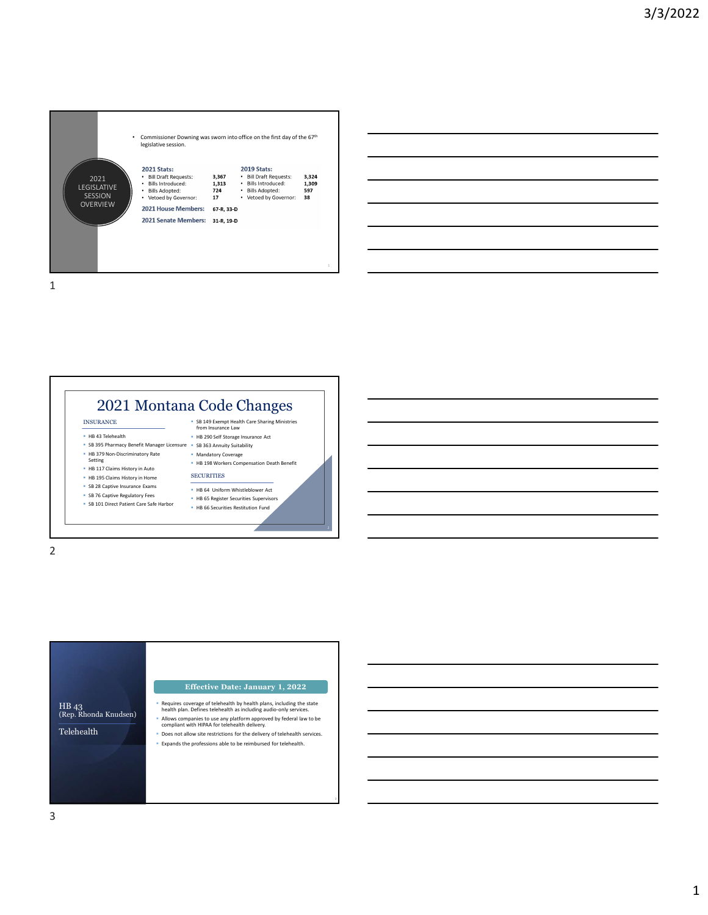



2 and 2 and 2 and 2 and 2 and 2 and 2 and 2 and 2 and 2 and 2 and 2 and 2 and 2 and 2 and 2 and 2 and 2 and 2

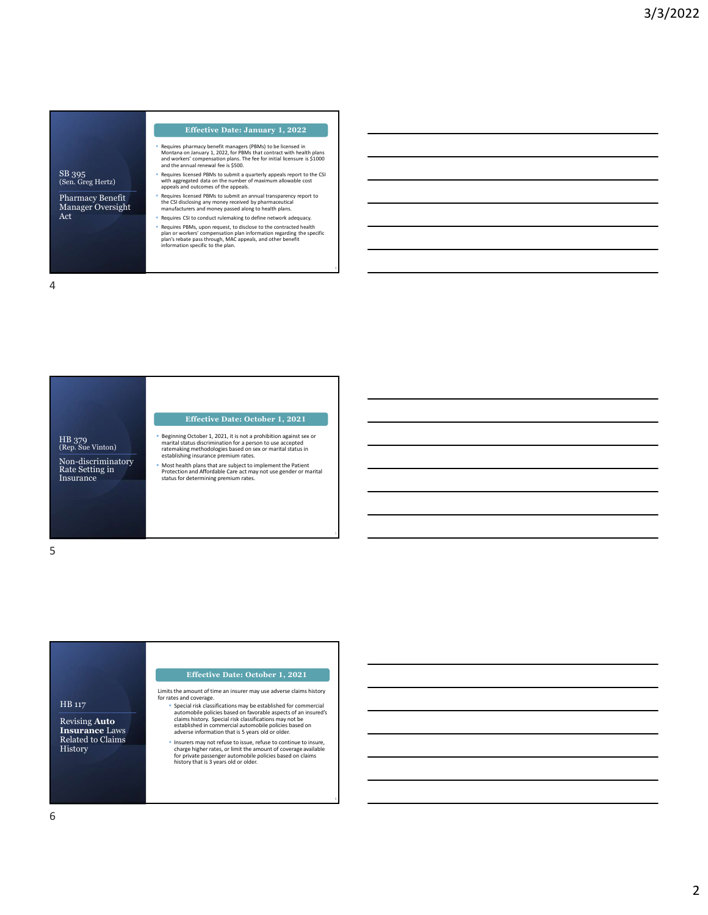| SB 395            |  |
|-------------------|--|
| (Sen. Greg Hertz) |  |

Manager Oversight Act

- Requires pharmacy benefit managers (PBMs) to be licensed in<br>Montana on January 1, 2022, for PBMs that contract with health plans<br>and workers' compensation plans. The fee for initial licensure is \$1000<br>and the annual renewa Effective Date: January 1, 2022<br>
Requires pharmacy benefit managers (PBMs) to be licensed in<br>
Montana on January 1, 2022, for PBMs that contract with health plans<br>
and workers' compensation plans. The fee for initial licen
- SB 395<br>
(Sen. Greg Hertz) 
Requires licensed PBMs to submit a quarterly appeals report to the CSI<br>
appeals and outcomes of the appeals.<br>
appeals and outcomes of the appeals.
- **Pharmacy Benefit Executes Sequires licensed PBMs to submit an annual transparency report to** Requires licensed PBMs to submit an annual transparency report to<br>the CSI disclosing any money received by pharmaceutical<br>manufacturers and money passed along to health plans.<br>Requires CSI to conduct rulemaking to define n
	-
	-

4

5

4

## Effective Date: October 1, 2021

HB 379<br>
(Rep. Sue Vinton) enartial status discrimination for a person to use accepted<br>
(Rep. Sue Vinton) and the rate of the establishing methodologies based on sex or marital status in<br>
extablishing insurance premium rate HB 379<br>(Rep. Sue Vinton) Non-discriminatory Rate Setting in

- Most health plans that are subject to implement the Patient
- Protection and Affordable Care act may not use gender or marital status for determining premium rates.

 $5<sub>5</sub>$ 

Insurance

# HB 117<br>
Special risk classifications may be established for commercial<br>
automobile policies based on favorable expects of an insured's<br> **Insurance** Laws<br>
established in commercial automobile policies based on<br> **Insurance** Revising Auto **Insurance** Laws<br>
Related to Claims History<br>
charge higher rates, or limit the amount of coverage available<br>
for private passenger automobile policies based on claims<br>
history that is 3 years old or older. Limits the amount of time an insurer may use adverse claims history for rates and coverage.<br>
"Special risk classifications may be established for commercial Effective Date: October 1, 2021

- -

Insurers may not refuse to issue, refuse to continue to insure,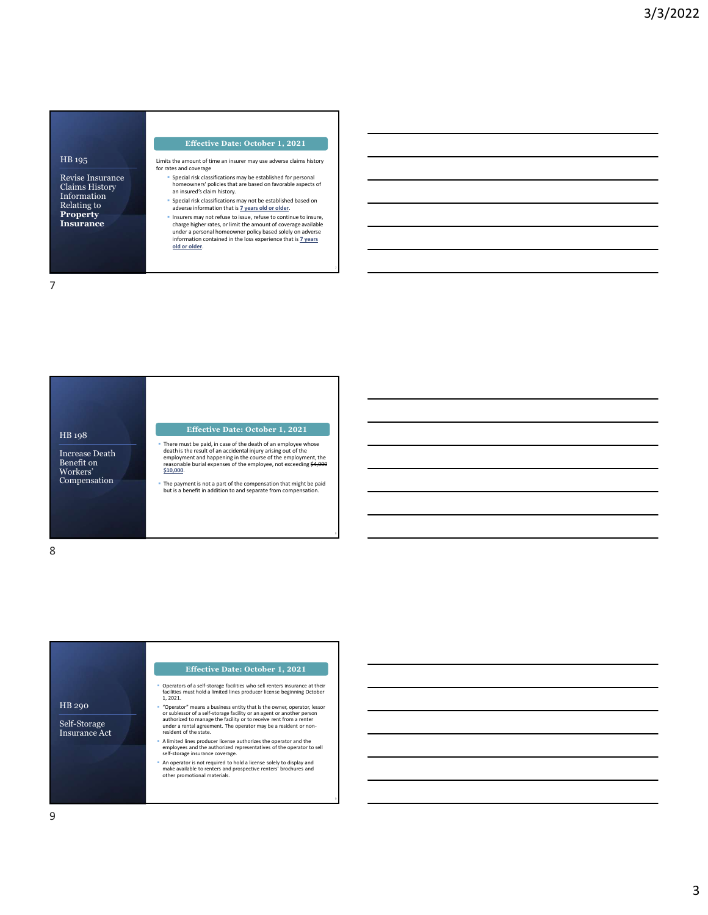## HB 195

Revise Insurance<br>
Claims History<br>
Claims History Information<br>
Relating to **Relating to Relating to Property**<br> **Insurance** Change his charge his

Limits the amount of time an insurer may use adverse claims history for rates and coverage

- Special risk classifications may be established for personal homeowners' policies that are based on favorable aspects of an insured's claim history.
- **Special risk classifications may not be established based on adverse information that is**  $\frac{7}{2}$  **years old or older.**
- Insurers may not refuse to issue, refuse to continue to insure, charge higher rates, or limit the amount of coverage available under a personal homeowner policy based solely on adverse Effective Date: October 1, 2021<br>the amount of time an insurer may use adverse claims history<br>spacial risk classifications may be established for personal<br>bhomeowners' policies that are based on favorable aspects of<br>an insu

7

8

9

7

Increase Death<br>
Benefit on The Complex of the result<br>
Benefit on The Complex of the reasonable burial Workers'

### Effective Date: October 1, 2021

- HB 198<br>
Increase Death<br>
There must be paid, in case of the death of an employee whose<br>
There must be paid, in case of the death of an employee whose<br>
Benefit on<br>
Benefit on<br>
Workers'<br>
Workers'<br>
S10.000.
- Compensation<br>
Fhe payment is not a part of the compensation that might be paid but is a benefit in addition to and separate from compensation.

8 and 2010 and 2010 and 2010 and 2010 and 2010 and 2010 and 2010 and 2010 and 2010 and 2010 and 2010 and 2010

|                                      | <b>Effective Date: October 1, 2021</b>                                                                                                                                       |
|--------------------------------------|------------------------------------------------------------------------------------------------------------------------------------------------------------------------------|
|                                      | Operators of a self-storage facilities who sell renters insurance at their<br>facilities must hold a limited lines producer license beginning October<br>1.2021.             |
| HB 290                               | "Operator" means a business entity that is the owner, operator, lessor<br>or sublessor of a self-storage facility or an agent or another person                              |
| Self-Storage<br><b>Insurance Act</b> | authorized to manage the facility or to receive rent from a renter<br>under a rental agreement. The operator may be a resident or non-<br>resident of the state.             |
|                                      | A limited lines producer license authorizes the operator and the<br>employees and the authorized representatives of the operator to sell<br>self-storage insurance coverage. |
|                                      | An operator is not required to hold a license solely to display and<br>make available to renters and prospective renters' brochures and<br>other promotional materials.      |
|                                      |                                                                                                                                                                              |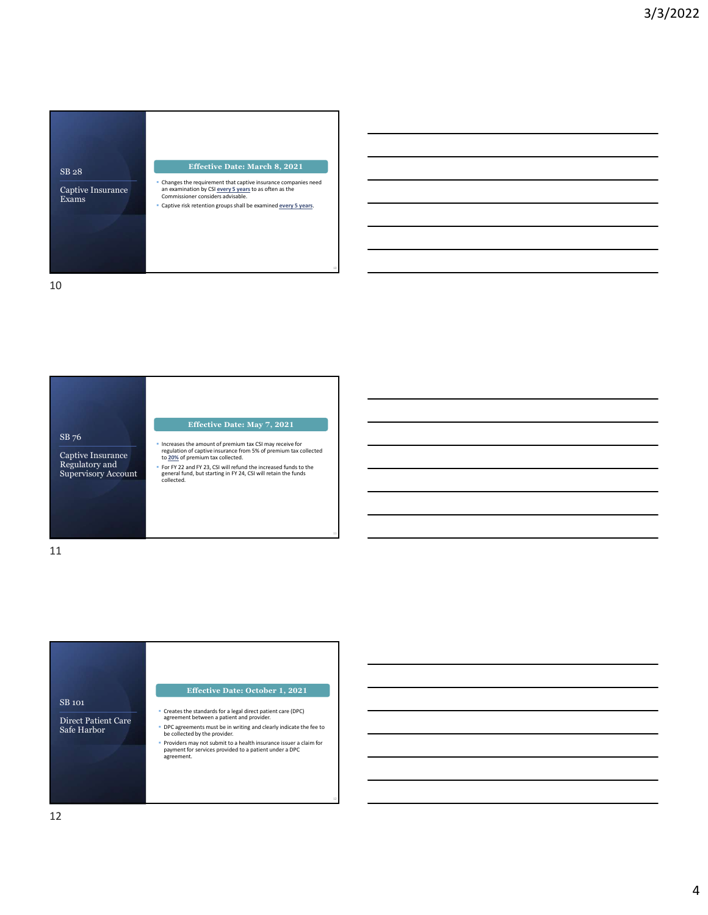





12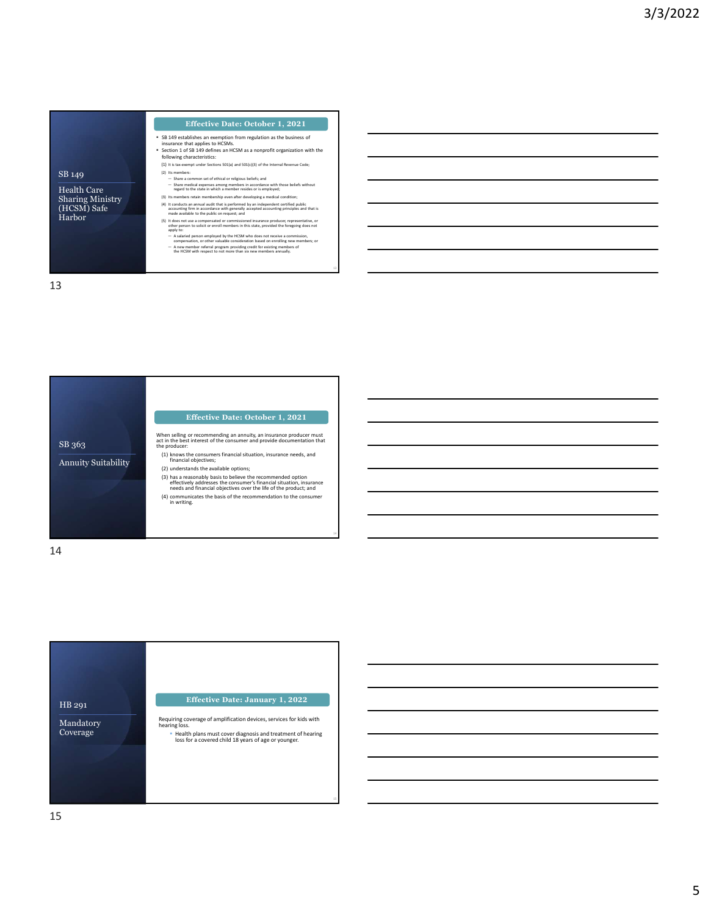Health Care Sharing Ministry (HCSM) Safe

- SB 149 establishes an exemption from regulation as the business of insurance that applies to HCSMs.
- Section 1 of SB 149 defines an HCSM as a nonprofit organization with the following characteristics:
- 
- 
- SB 149<br>
(2) Its members:<br>  $-$  Share a common set of ethical or religious beliefs; and<br>  $-$  Share a common set of ethical or religious beliefs; and<br>  $-$  Share a common set of ethical or religious beliefs; and<br>  $-$  Share and
	-
- Harbor and the public of request; Effective Date: October 1, 2021<br>
Si 49 etablishes an employin from regulation as the business of<br>
sixtensity is a property of the state of the state of the control of the principal<br>
section 1 of 3.149 defines an HCM as a Effective Datte: October 1, 2021<br>
Sectables an exercution from regulation as the business of<br>
annote that applies to HCSM as an incrementation:<br>  $\frac{1}{2}$  and  $\frac{1}{2}$  are the HCSM as a component of the numering area int
	-

13 and the contract of the contract of the contract of the contract of the contract of the contract of the contract of the contract of the contract of the contract of the contract of the contract of the contract of the con

13





Requiring coverage of amplification devices, services for kids with<br>hearing loss.

15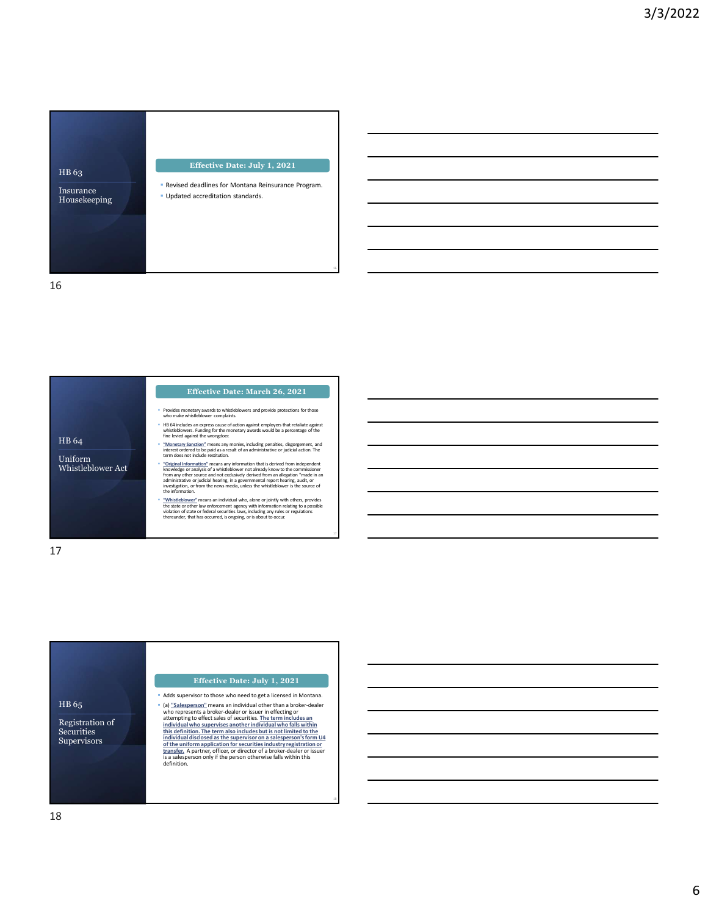

16

- Provides monetary awards to whistleblowers and provide protections for those who make whistleblower complaints.
	- HB 64 includes an express cause of action against employers that retaliate against whistleblowers. Funding for the monetary awards would be a percentage of the fine levied against the wrongdoer.
	- "Monetary Sanction" means any monies, including penalties, disgorgement, and interest ordered to be paid as a result of an administrative or judicial action. The term does not include restitution.
- Uniform<br>Whistleblower Act **Act** *Merchand* " Coriginal Information" means any information that is derived from independent Chromation conduction and the conduction of the conduction and property and a demonstration of the advertised and a demonstration of a demonst **Effective Date: March 26, 2021**<br>
Provides monetary awards to whistleblowers and provide protections for those<br>
who make whistleblowers cause of action against employes that retailate against<br>
He 64 holders an express caus
	-

17

18 access to the contract of the contract of the contract of the contract of the contract of the contract of the contract of the contract of the contract of the contract of the contract of the contract of the contract of t

17

HB 64